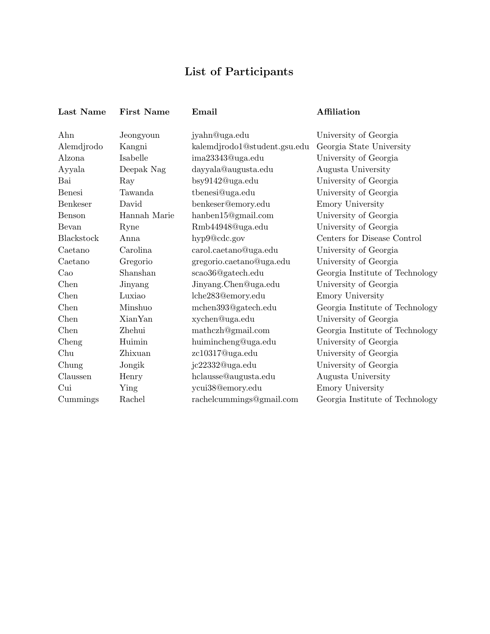## List of Participants

| Last Name     | <b>First Name</b> | Email                        | Affiliation                     |
|---------------|-------------------|------------------------------|---------------------------------|
| Ahn           | Jeongyoun         | jyahn@uga.edu                | University of Georgia           |
| Alemdjrodo    | Kangni            | kalemdjrodo1@student.gsu.edu | Georgia State University        |
| Alzona        | Isabelle          | ima23343@uga.edu             | University of Georgia           |
| Ayyala        | Deepak Nag        | dayyala@augusta.edu          | Augusta University              |
| Bai           | Ray               | bsy9142@uga.edu              | University of Georgia           |
| <b>Benesi</b> | Tawanda           | tbenesi@uga.edu              | University of Georgia           |
| Benkeser      | David             | benkeser@emory.edu           | Emory University                |
| Benson        | Hannah Marie      | hanben15@gmail.com           | University of Georgia           |
| Bevan         | Ryne              | Rmb44948@uga.edu             | University of Georgia           |
| Blackstock    | Anna              | hyp9@cdc.gov                 | Centers for Disease Control     |
| Caetano       | Carolina          | carol.caetano@uga.edu        | University of Georgia           |
| Caetano       | Gregorio          | gregorio.caetano@uga.edu     | University of Georgia           |
| $\rm Cao$     | Shanshan          | scao36@gatech.edu            | Georgia Institute of Technology |
| Chen          | Jinyang           | Jinyang.Chen@uga.edu         | University of Georgia           |
| Chen          | Luxiao            | lche283@emory.edu            | Emory University                |
| Chen          | Minshuo           | mchen393@gatech.edu          | Georgia Institute of Technology |
| Chen          | <b>XianYan</b>    | xychen@uga.edu               | University of Georgia           |
| Chen          | Zhehui            | mathczh@gmail.com            | Georgia Institute of Technology |
| Cheng         | Huimin            | huimincheng@uga.edu          | University of Georgia           |
| Chu           | Zhixuan           | zc10317@uga.edu              | University of Georgia           |
| Chung         | Jongik            | jc22332@uga.edu              | University of Georgia           |
| Claussen      | Henry             | hclausse@augusta.edu         | Augusta University              |
| Cui           | Ying              | ycui38@emory.edu             | Emory University                |
| Cummings      | Rachel            | rachelcummings@gmail.com     | Georgia Institute of Technology |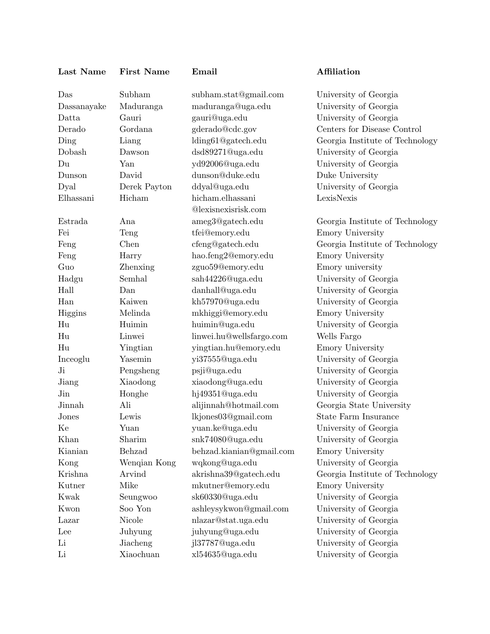| Last Name | First Nat |  |
|-----------|-----------|--|
|           |           |  |

Das Subham subham.stat@gmail.com University of Georgia Dassanayake Maduranga maduranga@uga.edu University of Georgia Datta Gauri gauri@uga.edu University of Georgia Derado Gordana gderado@cdc.gov Centers for Disease Control Ding Liang lding61@gatech.edu Georgia Institute of Technology Dobash Dawson dsd89271@uga.edu University of Georgia Du Yan yd92006@uga.edu University of Georgia Dunson David dunson@duke.edu Duke University Dyal Derek Payton ddyal@uga.edu University of Georgia Elhassani Hicham hicham.elhassani @lexisnexisrisk.com Estrada Ana ameg3@gatech.edu Georgia Institute of Technology Fei Teng tfei@emory.edu Emory University Feng Chen cfeng@gatech.edu Georgia Institute of Technology Feng Harry hao.feng2@emory.edu Emory University Guo Zhenxing zguo59@emory.edu Emory university Hadgu Semhal sah44226@uga.edu University of Georgia Hall Dan danhall@uga.edu University of Georgia Han Kaiwen kh57970@uga.edu University of Georgia Higgins Melinda mkhiggi@emory.edu Emory University Hu Huimin huimin@uga.edu University of Georgia Hu Linwei linwei.hu@wellsfargo.com Wells Fargo Hu Yingtian yingtian.hu@emory.edu Emory University Inceoglu Yasemin yi37555@uga.edu University of Georgia Ji Pengsheng psji@uga.edu University of Georgia Jiang Xiaodong xiaodong@uga.edu University of Georgia Jin Honghe hj49351@uga.edu University of Georgia Jinnah Ali alijinnah@hotmail.com Georgia State University Jones Lewis lkjones03@gmail.com State Farm Insurance Ke Yuan yuan.ke@uga.edu University of Georgia Khan Sharim snk74080@uga.edu University of Georgia Kianian Behzad behzad.kianian@gmail.com Emory University Kong Wenqian Kong wqkong@uga.edu University of Georgia Krishna Arvind akrishna39@gatech.edu Georgia Institute of Technology Kutner Mike mkutner@emory.edu Emory University Kwak Seungwoo sk60330@uga.edu University of Georgia Kwon Soo Yon ashleysykwon@gmail.com University of Georgia Lazar Nicole nlazar@stat.uga.edu University of Georgia Lee Juhyung juhyung@uga.edu University of Georgia Li Jiacheng jl37787@uga.edu University of Georgia Li Xiaochuan xl54635@uga.edu University of Georgia

## me Email Affiliation

LexisNexis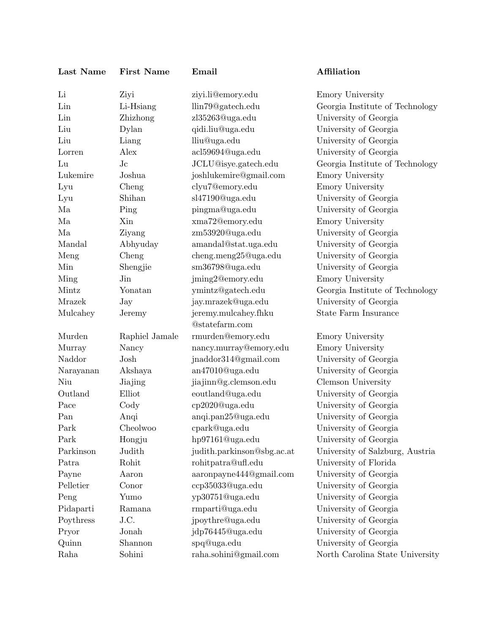| Last Name | <b>First Name</b> | Email                      | Affiliation                     |
|-----------|-------------------|----------------------------|---------------------------------|
| Li        | Ziyi              | ziyi.li@emory.edu          | Emory University                |
| Lin       | Li-Hsiang         | llin79@gatech.edu          | Georgia Institute of Technology |
| Lin       | Zhizhong          | zl35263@uga.edu            | University of Georgia           |
| Liu       | Dylan             | qidi.liu@uga.edu           | University of Georgia           |
| Liu       | Liang             | lliu@uga.edu               | University of Georgia           |
| Lorren    | Alex              | acl59694@uga.edu           | University of Georgia           |
| Lu        | $J_{\rm c}$       | JCLU@isye.gatech.edu       | Georgia Institute of Technology |
| Lukemire  | Joshua            | joshlukemire@gmail.com     | Emory University                |
| Lyu       | Cheng             | clyu7@emory.edu            | <b>Emory University</b>         |
| Lyu       | Shihan            | sl47190@uga.edu            | University of Georgia           |
| Ma        | Ping              | pingma@uga.edu             | University of Georgia           |
| Ma        | Xin               | xma72@emory.edu            | Emory University                |
| Ma        | Ziyang            | zm53920@uga.edu            | University of Georgia           |
| Mandal    | Abhyuday          | amandal@stat.uga.edu       | University of Georgia           |
| Meng      | Cheng             | cheng.meng25@uga.edu       | University of Georgia           |
| Min       | Shengjie          | sm36798@uga.edu            | University of Georgia           |
| Ming      | Jin               | jming2@emory.edu           | Emory University                |
| Mintz     | Yonatan           | ymintz@gatech.edu          | Georgia Institute of Technology |
| Mrazek    | Jay               | jay.mrazek@uga.edu         | University of Georgia           |
| Mulcahey  | Jeremy            | jeremy.mulcahey.fhku       | <b>State Farm Insurance</b>     |
|           |                   | @statefarm.com             |                                 |
| Murden    | Raphiel Jamale    | rmurden@emory.edu          | Emory University                |
| Murray    | Nancy             | nancy.murray@emory.edu     | <b>Emory University</b>         |
| Naddor    | Josh              | jnaddor314@gmail.com       | University of Georgia           |
| Narayanan | Akshaya           | an47010@uga.edu            | University of Georgia           |
| Niu       | Jiajing           | jiajinn@g.clemson.edu      | Clemson University              |
| Outland   | Elliot            | eoutland@uga.edu           | University of Georgia           |
| Pace      | Cody              | cp2020@uga.edu             | University of Georgia           |
| Pan       | Anqi              | anqi.pan25@uga.edu         | University of Georgia           |
| Park      | Cheolwoo          | cpark@uga.edu              | University of Georgia           |
| Park      | Hongju            | hp97161@uga.edu            | University of Georgia           |
| Parkinson | Judith            | judith.parkinson@sbg.ac.at | University of Salzburg, Austria |
| Patra     | Rohit             | rohitpatra@ufl.edu         | University of Florida           |
| Payne     | Aaron             | aaronpayne444@gmail.com    | University of Georgia           |
| Pelletier | Conor             | ccp35033@uga.edu           | University of Georgia           |
| Peng      | Yumo              | yp30751@uga.edu            | University of Georgia           |
| Pidaparti | Ramana            | rmparti@uga.edu            | University of Georgia           |
| Poythress | J.C.              | jpoythre@uga.edu           | University of Georgia           |
| Pryor     | Jonah             | jdp76445@uga.edu           | University of Georgia           |
| Quinn     | Shannon           | spq@uga.edu                | University of Georgia           |
| Raha      | Sohini            | raha.sohini@gmail.com      | North Carolina State University |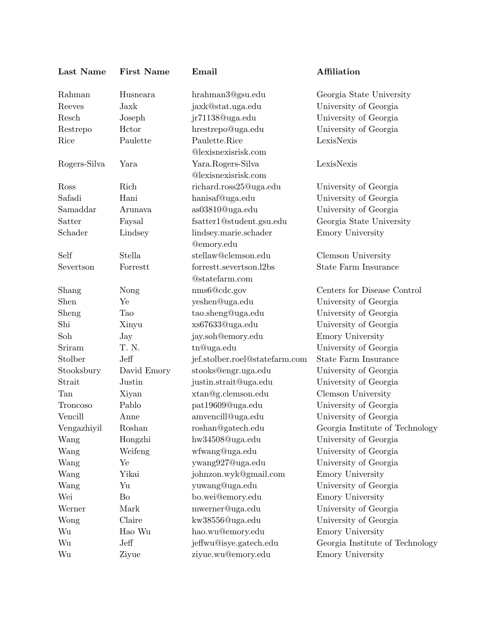| Last Name    | <b>First Name</b> | Email                          | Affiliation                     |
|--------------|-------------------|--------------------------------|---------------------------------|
| Rahman       | Husneara          | hrahman3@gsu.edu               | Georgia State University        |
| Reeves       | Jaxk              | jaxk@stat.uga.edu              | University of Georgia           |
| Resch        | Joseph            | jr71138@uga.edu                | University of Georgia           |
| Restrepo     | Hctor             | hrestrepo@uga.edu              | University of Georgia           |
| Rice         | Paulette          | Paulette.Rice                  | LexisNexis                      |
|              |                   | @lexisnexisrisk.com            |                                 |
| Rogers-Silva | Yara              | Yara.Rogers-Silva              | LexisNexis                      |
|              |                   | @lexisnexisrisk.com            |                                 |
| Ross         | Rich              | richard.ross25@uga.edu         | University of Georgia           |
| Safadi       | Hani              | hanisaf@uga.edu                | University of Georgia           |
| Samaddar     | Arunava           | as03810@uga.edu                | University of Georgia           |
| Satter       | Faysal            | fsatter1@student.gsu.edu       | Georgia State University        |
| Schader      | Lindsey           | lindsey.marie.schader          | Emory University                |
|              |                   | <b>@emory.edu</b>              |                                 |
| Self         | Stella            | stellaw@clemson.edu            | Clemson University              |
| Severtson    | Forrestt          | forrestt.severtson.l2bs        | <b>State Farm Insurance</b>     |
|              |                   | @statefarm.com                 |                                 |
| Shang        | Nong              | nms6@cdc.gov                   | Centers for Disease Control     |
| Shen         | Ye                | yeshen@uga.edu                 | University of Georgia           |
| Sheng        | Tao               | tao.sheng@uga.edu              | University of Georgia           |
| Shi          | Xinyu             | xs67633@uga.edu                | University of Georgia           |
| Soh          | Jay               | jay.soh@emory.edu              | Emory University                |
| Sriram       | T. N.             | tn@uga.edu                     | University of Georgia           |
| Stolber      | Jeff              | jef.stolber.roel@statefarm.com | <b>State Farm Insurance</b>     |
| Stooksbury   | David Emory       | stooks@engr.uga.edu            | University of Georgia           |
| Strait       | Justin            | justin.strait@uga.edu          | University of Georgia           |
| Tan          | Xiyan             | xtan@g.clemson.edu             | Clemson University              |
| Troncoso     | Pablo             | pat19609@uga.edu               | University of Georgia           |
| Vencill      | Anne              | amvencill@uga.edu              | University of Georgia           |
| Vengazhiyil  | Roshan            | roshan@gatech.edu              | Georgia Institute of Technology |
| Wang         | Hongzhi           | hw34508@uga.edu                | University of Georgia           |
| Wang         | Weifeng           | wfwang@uga.edu                 | University of Georgia           |
| Wang         | Ye                | ywang927@uga.edu               | University of Georgia           |
| Wang         | Yikai             | johnzon.wyk@gmail.com          | Emory University                |
| Wang         | Yu                | yuwang@uga.edu                 | University of Georgia           |
| Wei          | Bo                | bo.wei@emory.edu               | Emory University                |
| Werner       | Mark              | mwerner@uga.edu                | University of Georgia           |
| Wong         | Claire            | kw38556@uga.edu                | University of Georgia           |
| Wu           | Hao Wu            | hao.wu@emory.edu               | Emory University                |
| Wu           | Jeff              | jeffwu@isye.gatech.edu         | Georgia Institute of Technology |
| Wu           | Ziyue             | ziyue.wu@emory.edu             | Emory University                |